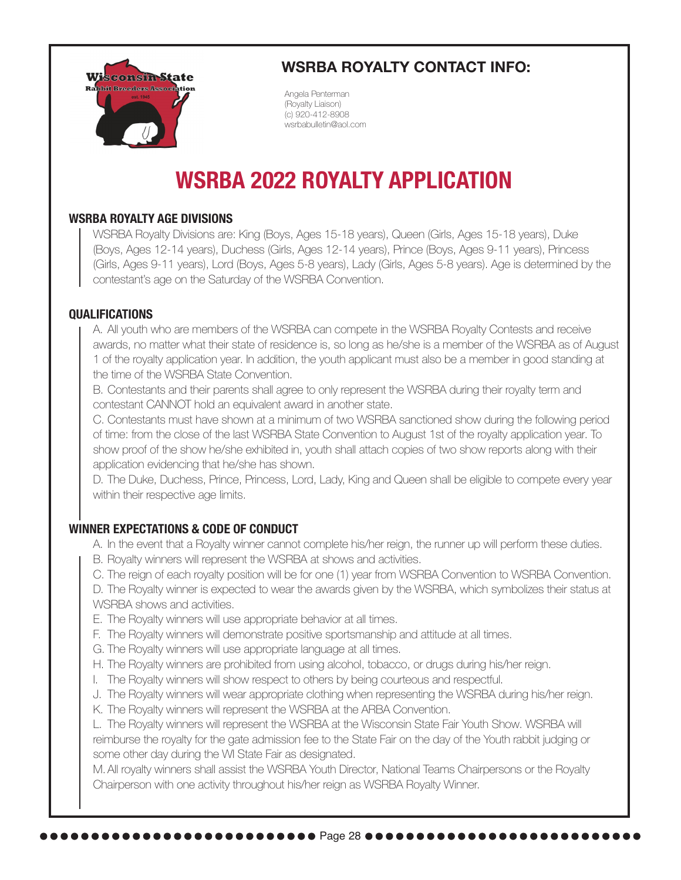

# **WSRBA ROYALTY CONTACT INFO:**

Angela Penterman (Royalty Liaison) (c) 920-412-8908 wsrbabulletin@aol.com

# **WSRBA 2022 ROYALTY APPLICATION**

## **WSRBA ROYALTY AGE DIVISIONS**

WSRBA Royalty Divisions are: King (Boys, Ages 15-18 years), Queen (Girls, Ages 15-18 years), Duke (Boys, Ages 12-14 years), Duchess (Girls, Ages 12-14 years), Prince (Boys, Ages 9-11 years), Princess (Girls, Ages 9-11 years), Lord (Boys, Ages 5-8 years), Lady (Girls, Ages 5-8 years). Age is determined by the contestant's age on the Saturday of the WSRBA Convention.

## **QUALIFICATIONS**

A. All youth who are members of the WSRBA can compete in the WSRBA Royalty Contests and receive awards, no matter what their state of residence is, so long as he/she is a member of the WSRBA as of August 1 of the royalty application year. In addition, the youth applicant must also be a member in good standing at the time of the WSRBA State Convention.

B. Contestants and their parents shall agree to only represent the WSRBA during their royalty term and contestant CANNOT hold an equivalent award in another state.

C. Contestants must have shown at a minimum of two WSRBA sanctioned show during the following period of time: from the close of the last WSRBA State Convention to August 1st of the royalty application year. To show proof of the show he/she exhibited in, youth shall attach copies of two show reports along with their application evidencing that he/she has shown.

D. The Duke, Duchess, Prince, Princess, Lord, Lady, King and Queen shall be eligible to compete every year within their respective age limits.

# **WINNER EXPECTATIONS & CODE OF CONDUCT**

- A. In the event that a Royalty winner cannot complete his/her reign, the runner up will perform these duties.
- B. Royalty winners will represent the WSRBA at shows and activities.
- C. The reign of each royalty position will be for one (1) year from WSRBA Convention to WSRBA Convention.

D. The Royalty winner is expected to wear the awards given by the WSRBA, which symbolizes their status at WSRBA shows and activities.

- E. The Royalty winners will use appropriate behavior at all times.
- F. The Royalty winners will demonstrate positive sportsmanship and attitude at all times.
- G. The Royalty winners will use appropriate language at all times.
- H. The Royalty winners are prohibited from using alcohol, tobacco, or drugs during his/her reign.
- I. The Royalty winners will show respect to others by being courteous and respectful.
- J. The Royalty winners will wear appropriate clothing when representing the WSRBA during his/her reign.
- K. The Royalty winners will represent the WSRBA at the ARBA Convention.

L. The Royalty winners will represent the WSRBA at the Wisconsin State Fair Youth Show. WSRBA will reimburse the royalty for the gate admission fee to the State Fair on the day of the Youth rabbit judging or some other day during the WI State Fair as designated.

M. All royalty winners shall assist the WSRBA Youth Director, National Teams Chairpersons or the Royalty Chairperson with one activity throughout his/her reign as WSRBA Royalty Winner.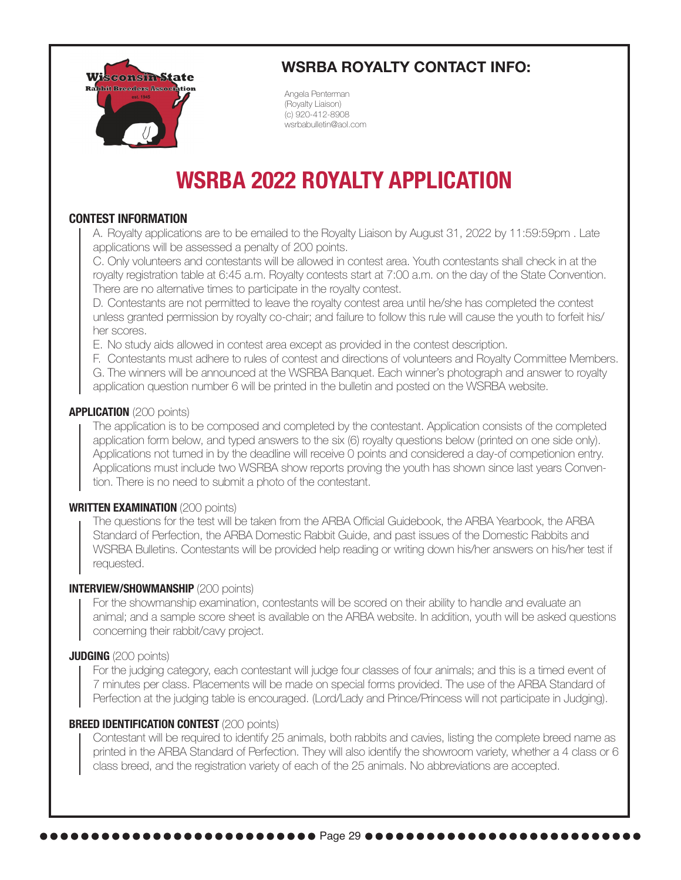

# **WSRBA ROYALTY CONTACT INFO:**

Angela Penterman (Royalty Liaison) (c) 920-412-8908 wsrbabulletin@aol.com

# **WSRBA 2022 ROYALTY APPLICATION**

## **CONTEST INFORMATION**

A. Royalty applications are to be emailed to the Royalty Liaison by August 31, 2022 by 11:59:59pm . Late applications will be assessed a penalty of 200 points.

C. Only volunteers and contestants will be allowed in contest area. Youth contestants shall check in at the royalty registration table at 6:45 a.m. Royalty contests start at 7:00 a.m. on the day of the State Convention. There are no alternative times to participate in the royalty contest.

D. Contestants are not permitted to leave the royalty contest area until he/she has completed the contest unless granted permission by royalty co-chair; and failure to follow this rule will cause the youth to forfeit his/ her scores.

E. No study aids allowed in contest area except as provided in the contest description.

F. Contestants must adhere to rules of contest and directions of volunteers and Royalty Committee Members.

G. The winners will be announced at the WSRBA Banquet. Each winner's photograph and answer to royalty application question number 6 will be printed in the bulletin and posted on the WSRBA website.

#### **APPLICATION** (200 points)

The application is to be composed and completed by the contestant. Application consists of the completed application form below, and typed answers to the six (6) royalty questions below (printed on one side only). Applications not turned in by the deadline will receive 0 points and considered a day-of competionion entry. Applications must include two WSRBA show reports proving the youth has shown since last years Convention. There is no need to submit a photo of the contestant.

#### **WRITTEN EXAMINATION** (200 points)

The questions for the test will be taken from the ARBA Official Guidebook, the ARBA Yearbook, the ARBA Standard of Perfection, the ARBA Domestic Rabbit Guide, and past issues of the Domestic Rabbits and WSRBA Bulletins. Contestants will be provided help reading or writing down his/her answers on his/her test if requested.

#### **INTERVIEW/SHOWMANSHIP** (200 points)

For the showmanship examination, contestants will be scored on their ability to handle and evaluate an animal; and a sample score sheet is available on the ARBA website. In addition, youth will be asked questions concerning their rabbit/cavy project.

#### **JUDGING** (200 points)

For the judging category, each contestant will judge four classes of four animals; and this is a timed event of 7 minutes per class. Placements will be made on special forms provided. The use of the ARBA Standard of Perfection at the judging table is encouraged. (Lord/Lady and Prince/Princess will not participate in Judging).

#### **BREED IDENTIFICATION CONTEST (200 points)**

Contestant will be required to identify 25 animals, both rabbits and cavies, listing the complete breed name as printed in the ARBA Standard of Perfection. They will also identify the showroom variety, whether a 4 class or 6 class breed, and the registration variety of each of the 25 animals. No abbreviations are accepted.